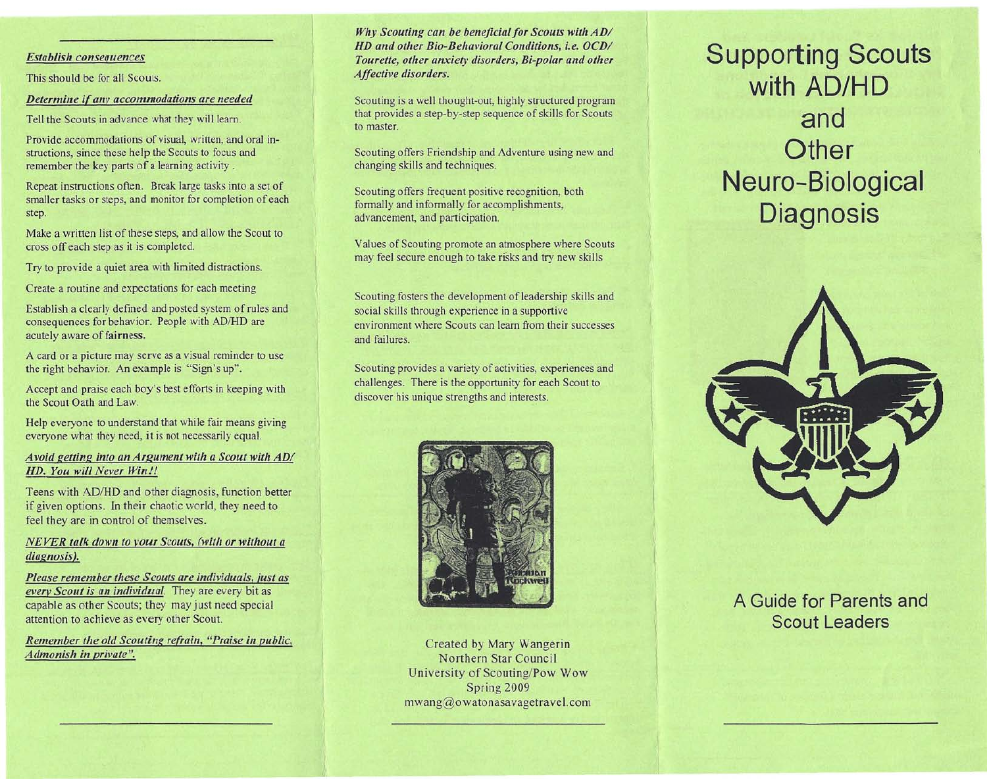#### *Establish consequences*

This should be for all Scouts.

*Determine if any accommodations are needed*

Tell the Scouts in advance what they will learn.

Provide accommodations of visual, written, and oral instructions, since these help the Scouts to focus and remember the key parts of a learning activity.

Repeat instructions often. Break large tasks into a set of smaller tasks or steps, and monitor for completion of each step.

Make a written list of these steps, and allow the Scout to cross off each step as it is completed.

Try to provide a quiet area with limited distractions.

Create a routine and expectations for each meeting

Establish a clearly defined and posted system of rules and consequences for behavior. People with *ADIHD* are acutely aware of fairness.

A card or a picture may serve as a visual reminder to use the right behavior. An example is "Sign's up".

Accept and praise each boy's best efforts in keeping with the Scout Oath and Law.

Help everyone to understand that while fair means giving everyone what they need, it is not necessarily equal.

## *Avoid getting into an Argument with a Scout with AD/ HD. You will Never Win!!*

Teens with *ADIHD* and other diagnosis, function better if given options. In their chaotic world, they need to feel they are in control of themselves.

## *NEVER talk down to VOUI Scouts, (with or without a diagnosis).*

*Please remember these Scouts are individuals, just as everv Scout is an individual.* They are every bit as capable as other Scouts; they may just need special attention to achieve as every other Scout.

*Remember the old Scouting refrain, "Praise in public, Admonish in private".*

### *Why Scouting can be beneficial for Scouts with AD/ HD and other Bio-Behavioral Conditions, i.e. OCD/ Tourette, other anxiety disorders, Bi-polar and other Affective disorders.*

Scouting is a well thought-out, highly structured program that provides a step-by-step sequence of skills for Scouts to master.

Scouting offers Friendship and Adventure using new and changing skills and techniques.

Scouting offers frequent positive recognition, both formally and informally for accomplishments, advancement, and participation.

Values of Scouting promote an atmosphere where Scouts may feel secure enough to take risks and try new skills

Scouting fosters the development of leadership skills and social skills through experience in a supportive environment where Scouts can learn from their successes and failures.

Scouting provides a variety of activities, experiences and challenges. There is the opportunity for each Scout to discover his unique strengths and interests.



Created by Mary Wangerin Northern Star Council University of Scouting/Pow Wow Spring 2009 mwang@owatonasavagetravel.com

# **Supporting Scouts with AD/HD and Other Neuro-Biological Diagnosis**



## A **Guide for Parents and Scout Leaders**